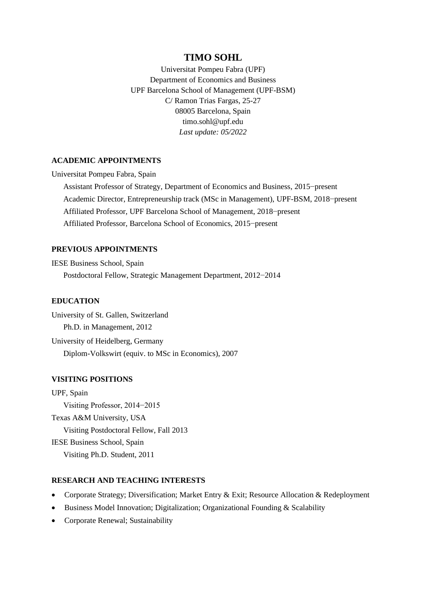# **TIMO SOHL**

Universitat Pompeu Fabra (UPF) Department of Economics and Business UPF Barcelona School of Management (UPF-BSM) C/ Ramon Trias Fargas, 25-27 08005 Barcelona, Spain timo.sohl@upf.edu *Last update: 05/2022*

# **ACADEMIC APPOINTMENTS**

Universitat Pompeu Fabra, Spain

 Assistant Professor of Strategy, Department of Economics and Business, 2015−present Academic Director, Entrepreneurship track (MSc in Management), UPF-BSM, 2018−present Affiliated Professor, UPF Barcelona School of Management, 2018−present Affiliated Professor, Barcelona School of Economics, 2015−present

# **PREVIOUS APPOINTMENTS**

IESE Business School, Spain Postdoctoral Fellow, Strategic Management Department, 2012−2014

# **EDUCATION**

University of St. Gallen, Switzerland Ph.D. in Management, 2012 University of Heidelberg, Germany Diplom-Volkswirt (equiv. to MSc in Economics), 2007

#### **VISITING POSITIONS**

UPF, Spain Visiting Professor, 2014−2015 Texas A&M University, USA Visiting Postdoctoral Fellow, Fall 2013 IESE Business School, Spain Visiting Ph.D. Student, 2011

### **RESEARCH AND TEACHING INTERESTS**

- Corporate Strategy; Diversification; Market Entry & Exit; Resource Allocation & Redeployment
- Business Model Innovation; Digitalization; Organizational Founding & Scalability
- Corporate Renewal; Sustainability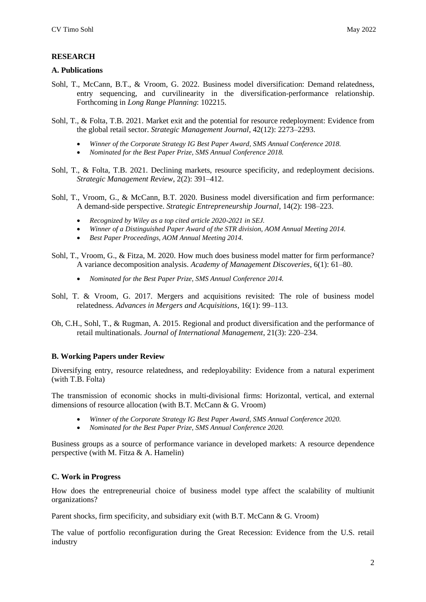# **RESEARCH**

#### **A. Publications**

- Sohl, T., McCann, B.T., & Vroom, G. 2022. Business model diversification: Demand relatedness, entry sequencing, and curvilinearity in the diversification-performance relationship. Forthcoming in *Long Range Planning*: 102215.
- Sohl, T., & Folta, T.B. 2021. Market exit and the potential for resource redeployment: Evidence from the global retail sector. *Strategic Management Journal*, 42(12): 2273–2293.
	- *Winner of the Corporate Strategy IG Best Paper Award, SMS Annual Conference 2018.*
	- *Nominated for the Best Paper Prize, SMS Annual Conference 2018.*
- Sohl, T., & Folta, T.B. 2021. Declining markets, resource specificity, and redeployment decisions. *Strategic Management Review*, 2(2): 391–412.
- Sohl, T., Vroom, G., & McCann, B.T. 2020. Business model diversification and firm performance: A demand-side perspective. *Strategic Entrepreneurship Journal*, 14(2): 198–223.
	- *Recognized by Wiley as a top cited article 2020-2021 in SEJ.*
	- *Winner of a Distinguished Paper Award of the STR division, AOM Annual Meeting 2014.*
	- *Best Paper Proceedings, AOM Annual Meeting 2014.*
- Sohl, T., Vroom, G., & Fitza, M. 2020. How much does business model matter for firm performance? A variance decomposition analysis. *Academy of Management Discoveries*, 6(1): 61–80.
	- *Nominated for the Best Paper Prize, SMS Annual Conference 2014.*
- Sohl, T. & Vroom, G. 2017. Mergers and acquisitions revisited: The role of business model relatedness. *Advances in Mergers and Acquisitions*, 16(1): 99–113.
- Oh, C.H., Sohl, T., & Rugman, A. 2015. Regional and product diversification and the performance of retail multinationals. *Journal of International Management*, 21(3): 220–234.

# **B. Working Papers under Review**

Diversifying entry, resource relatedness, and redeployability: Evidence from a natural experiment (with T.B. Folta)

The transmission of economic shocks in multi-divisional firms: Horizontal, vertical, and external dimensions of resource allocation (with B.T. McCann & G. Vroom)

- *Winner of the Corporate Strategy IG Best Paper Award, SMS Annual Conference 2020.*
- *Nominated for the Best Paper Prize, SMS Annual Conference 2020.*

Business groups as a source of performance variance in developed markets: A resource dependence perspective (with M. Fitza  $& A$ . Hamelin)

# **C. Work in Progress**

How does the entrepreneurial choice of business model type affect the scalability of multiunit organizations?

Parent shocks, firm specificity, and subsidiary exit (with B.T. McCann & G. Vroom)

The value of portfolio reconfiguration during the Great Recession: Evidence from the U.S. retail industry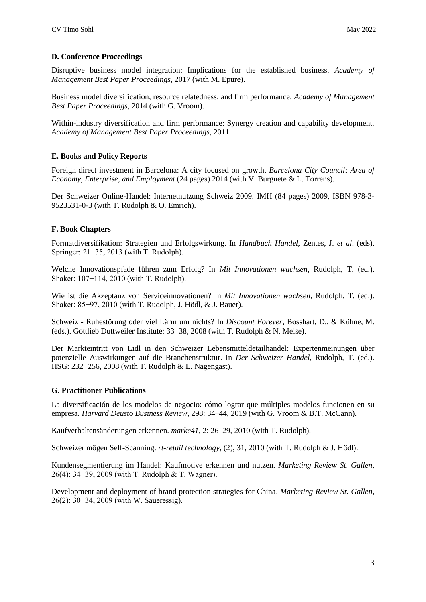# **D. Conference Proceedings**

Disruptive business model integration: Implications for the established business. *Academy of Management Best Paper Proceedings*, 2017 (with M. Epure).

Business model diversification, resource relatedness, and firm performance. *Academy of Management Best Paper Proceedings*, 2014 (with G. Vroom).

Within-industry diversification and firm performance: Synergy creation and capability development. *Academy of Management Best Paper Proceedings*, 2011.

# **E. Books and Policy Reports**

Foreign direct investment in Barcelona: A city focused on growth. *Barcelona City Council: Area of Economy, Enterprise, and Employment* (24 pages) 2014 (with V. Burguete & L. Torrens).

Der Schweizer Online-Handel: Internetnutzung Schweiz 2009. IMH (84 pages) 2009, ISBN 978-3- 9523531-0-3 (with T. Rudolph & O. Emrich).

# **F. Book Chapters**

Formatdiversifikation: Strategien und Erfolgswirkung. In *Handbuch Handel*, Zentes, J. *et al*. (eds). Springer: 21−35, 2013 (with T. Rudolph).

Welche Innovationspfade führen zum Erfolg? In *Mit Innovationen wachsen*, Rudolph, T. (ed.). Shaker: 107−114, 2010 (with T. Rudolph).

Wie ist die Akzeptanz von Serviceinnovationen? In *Mit Innovationen wachsen*, Rudolph, T. (ed.). Shaker: 85−97, 2010 (with T. Rudolph, J. Hödl, & J. Bauer).

Schweiz - Ruhestörung oder viel Lärm um nichts? In *Discount Forever*, Bosshart, D., & Kühne, M. (eds.). Gottlieb Duttweiler Institute: 33−38, 2008 (with T. Rudolph & N. Meise).

Der Markteintritt von Lidl in den Schweizer Lebensmitteldetailhandel: Expertenmeinungen über potenzielle Auswirkungen auf die Branchenstruktur. In *Der Schweizer Handel*, Rudolph, T. (ed.). HSG: 232−256, 2008 (with T. Rudolph & L. Nagengast).

# **G. Practitioner Publications**

La diversificación de los modelos de negocio: cómo lograr que múltiples modelos funcionen en su empresa. *Harvard Deusto Business Review*, 298: 34–44, 2019 (with G. Vroom & B.T. McCann).

Kaufverhaltensänderungen erkennen. *marke41*, 2: 26–29, 2010 (with T. Rudolph).

Schweizer mögen Self-Scanning. *rt-retail technology*, (2), 31, 2010 (with T. Rudolph & J. Hödl).

Kundensegmentierung im Handel: Kaufmotive erkennen und nutzen. *Marketing Review St. Gallen*, 26(4): 34−39, 2009 (with T. Rudolph & T. Wagner).

Development and deployment of brand protection strategies for China. *Marketing Review St. Gallen*, 26(2): 30−34, 2009 (with W. Saueressig).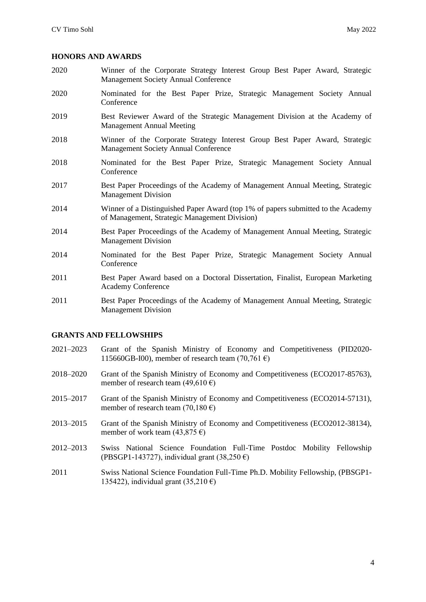#### **HONORS AND AWARDS**

- 2020 Winner of the Corporate Strategy Interest Group Best Paper Award, Strategic Management Society Annual Conference
- 2020 Nominated for the Best Paper Prize, Strategic Management Society Annual Conference
- 2019 Best Reviewer Award of the Strategic Management Division at the Academy of Management Annual Meeting
- 2018 Winner of the Corporate Strategy Interest Group Best Paper Award, Strategic Management Society Annual Conference
- 2018 Nominated for the Best Paper Prize, Strategic Management Society Annual Conference
- 2017 Best Paper Proceedings of the Academy of Management Annual Meeting, Strategic Management Division
- 2014 Winner of a Distinguished Paper Award (top 1% of papers submitted to the Academy of Management, Strategic Management Division)
- 2014 Best Paper Proceedings of the Academy of Management Annual Meeting, Strategic Management Division
- 2014 Nominated for the Best Paper Prize, Strategic Management Society Annual Conference
- 2011 Best Paper Award based on a Doctoral Dissertation, Finalist, European Marketing Academy Conference
- 2011 Best Paper Proceedings of the Academy of Management Annual Meeting, Strategic Management Division

# **GRANTS AND FELLOWSHIPS**

- 2021–2023 Grant of the Spanish Ministry of Economy and Competitiveness (PID2020- 115660GB-I00), member of research team (70,761 $\epsilon$ )
- 2018–2020 Grant of the Spanish Ministry of Economy and Competitiveness (ECO2017-85763), member of research team (49,610 €)
- 2015–2017 Grant of the Spanish Ministry of Economy and Competitiveness (ECO2014-57131), member of research team (70,180 €)
- 2013–2015 Grant of the Spanish Ministry of Economy and Competitiveness (ECO2012-38134), member of work team  $(43,875 \epsilon)$
- 2012–2013 Swiss National Science Foundation Full-Time Postdoc Mobility Fellowship (PBSGP1-143727), individual grant  $(38,250 \epsilon)$
- 2011 Swiss National Science Foundation Full-Time Ph.D. Mobility Fellowship, (PBSGP1- 135422), individual grant  $(35,210 \text{ } \epsilon)$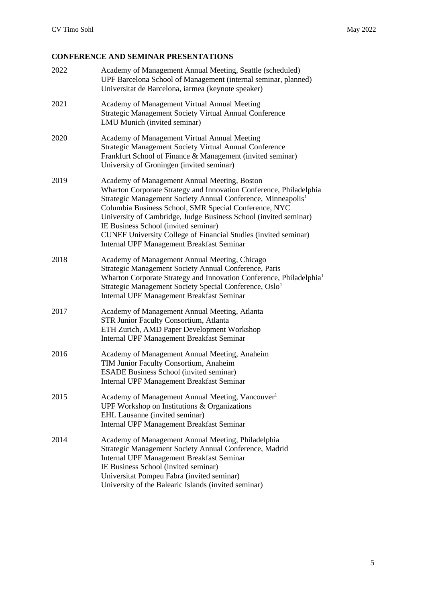# **CONFERENCE AND SEMINAR PRESENTATIONS**

| 2022 | Academy of Management Annual Meeting, Seattle (scheduled)<br>UPF Barcelona School of Management (internal seminar, planned)<br>Universitat de Barcelona, iarmea (keynote speaker)                                                                                                                                                                                                                                                                                                                 |
|------|---------------------------------------------------------------------------------------------------------------------------------------------------------------------------------------------------------------------------------------------------------------------------------------------------------------------------------------------------------------------------------------------------------------------------------------------------------------------------------------------------|
| 2021 | Academy of Management Virtual Annual Meeting<br>Strategic Management Society Virtual Annual Conference<br>LMU Munich (invited seminar)                                                                                                                                                                                                                                                                                                                                                            |
| 2020 | Academy of Management Virtual Annual Meeting<br><b>Strategic Management Society Virtual Annual Conference</b><br>Frankfurt School of Finance & Management (invited seminar)<br>University of Groningen (invited seminar)                                                                                                                                                                                                                                                                          |
| 2019 | Academy of Management Annual Meeting, Boston<br>Wharton Corporate Strategy and Innovation Conference, Philadelphia<br>Strategic Management Society Annual Conference, Minneapolis <sup>1</sup><br>Columbia Business School, SMR Special Conference, NYC<br>University of Cambridge, Judge Business School (invited seminar)<br>IE Business School (invited seminar)<br><b>CUNEF University College of Financial Studies (invited seminar)</b><br><b>Internal UPF Management Breakfast Seminar</b> |
| 2018 | Academy of Management Annual Meeting, Chicago<br>Strategic Management Society Annual Conference, Paris<br>Wharton Corporate Strategy and Innovation Conference, Philadelphia <sup>1</sup><br>Strategic Management Society Special Conference, Oslo <sup>1</sup><br>Internal UPF Management Breakfast Seminar                                                                                                                                                                                      |
| 2017 | Academy of Management Annual Meeting, Atlanta<br>STR Junior Faculty Consortium, Atlanta<br>ETH Zurich, AMD Paper Development Workshop<br><b>Internal UPF Management Breakfast Seminar</b>                                                                                                                                                                                                                                                                                                         |
| 2016 | Academy of Management Annual Meeting, Anaheim<br>TIM Junior Faculty Consortium, Anaheim<br><b>ESADE Business School (invited seminar)</b><br><b>Internal UPF Management Breakfast Seminar</b>                                                                                                                                                                                                                                                                                                     |
| 2015 | Academy of Management Annual Meeting, Vancouver <sup>1</sup><br>UPF Workshop on Institutions & Organizations<br>EHL Lausanne (invited seminar)<br>Internal UPF Management Breakfast Seminar                                                                                                                                                                                                                                                                                                       |
| 2014 | Academy of Management Annual Meeting, Philadelphia<br>Strategic Management Society Annual Conference, Madrid<br><b>Internal UPF Management Breakfast Seminar</b><br>IE Business School (invited seminar)<br>Universitat Pompeu Fabra (invited seminar)<br>University of the Balearic Islands (invited seminar)                                                                                                                                                                                    |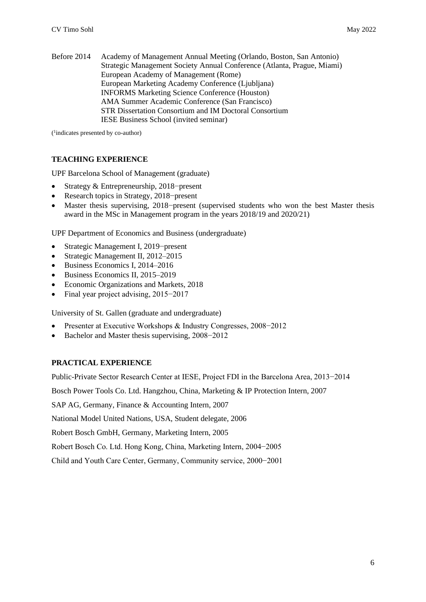Before 2014 Academy of Management Annual Meeting (Orlando, Boston, San Antonio) Strategic Management Society Annual Conference (Atlanta, Prague, Miami) European Academy of Management (Rome) European Marketing Academy Conference (Ljubljana) INFORMS Marketing Science Conference (Houston) AMA Summer Academic Conference (San Francisco) STR Dissertation Consortium and IM Doctoral Consortium IESE Business School (invited seminar)

( 1 indicates presented by co-author)

# **TEACHING EXPERIENCE**

UPF Barcelona School of Management (graduate)

- Strategy & Entrepreneurship, 2018−present
- Research topics in Strategy, 2018−present
- Master thesis supervising, 2018−present (supervised students who won the best Master thesis award in the MSc in Management program in the years 2018/19 and 2020/21)

UPF Department of Economics and Business (undergraduate)

- Strategic Management I, 2019−present
- Strategic Management II, 2012–2015
- Business Economics I, 2014–2016
- Business Economics II, 2015–2019
- Economic Organizations and Markets, 2018
- Final year project advising, 2015−2017

University of St. Gallen (graduate and undergraduate)

- Presenter at Executive Workshops & Industry Congresses, 2008−2012
- Bachelor and Master thesis supervising, 2008−2012

# **PRACTICAL EXPERIENCE**

Public-Private Sector Research Center at IESE, Project FDI in the Barcelona Area, 2013−2014

Bosch Power Tools Co. Ltd. Hangzhou, China, Marketing & IP Protection Intern, 2007

SAP AG, Germany, Finance & Accounting Intern, 2007

National Model United Nations, USA, Student delegate, 2006

Robert Bosch GmbH, Germany, Marketing Intern, 2005

Robert Bosch Co. Ltd. Hong Kong, China, Marketing Intern, 2004−2005

Child and Youth Care Center, Germany, Community service, 2000−2001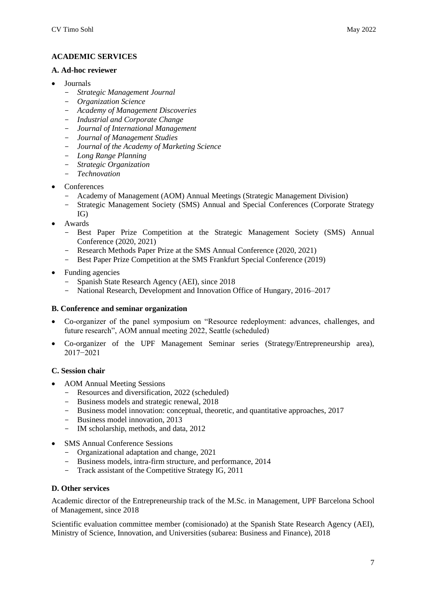# **ACADEMIC SERVICES**

#### **A. Ad-hoc reviewer**

- Journals
	- *Strategic Management Journal*
	- *Organization Science*
	- *Academy of Management Discoveries*
	- *Industrial and Corporate Change*
	- *Journal of International Management*
	- *Journal of Management Studies*
	- *Journal of the Academy of Marketing Science*
	- *Long Range Planning*
	- *Strategic Organization*
	- *Technovation*
- Conferences
	- Academy of Management (AOM) Annual Meetings (Strategic Management Division)
	- Strategic Management Society (SMS) Annual and Special Conferences (Corporate Strategy IG)
- Awards
	- Best Paper Prize Competition at the Strategic Management Society (SMS) Annual Conference (2020, 2021)
	- Research Methods Paper Prize at the SMS Annual Conference (2020, 2021)
	- Best Paper Prize Competition at the SMS Frankfurt Special Conference (2019)
- Funding agencies
	- Spanish State Research Agency (AEI), since 2018
	- National Research, Development and Innovation Office of Hungary, 2016–2017

# **B. Conference and seminar organization**

- Co-organizer of the panel symposium on "Resource redeployment: advances, challenges, and future research", AOM annual meeting 2022, Seattle (scheduled)
- Co-organizer of the UPF Management Seminar series (Strategy/Entrepreneurship area), 2017−2021

# **C. Session chair**

- AOM Annual Meeting Sessions
	- Resources and diversification, 2022 (scheduled)
	- Business models and strategic renewal, 2018
	- Business model innovation: conceptual, theoretic, and quantitative approaches, 2017
	- Business model innovation, 2013
	- IM scholarship, methods, and data, 2012
- SMS Annual Conference Sessions
	- Organizational adaptation and change, 2021
	- Business models, intra-firm structure, and performance, 2014
	- Track assistant of the Competitive Strategy IG, 2011

# **D. Other services**

Academic director of the Entrepreneurship track of the M.Sc. in Management, UPF Barcelona School of Management, since 2018

Scientific evaluation committee member (comisionado) at the Spanish State Research Agency (AEI), Ministry of Science, Innovation, and Universities (subarea: Business and Finance), 2018